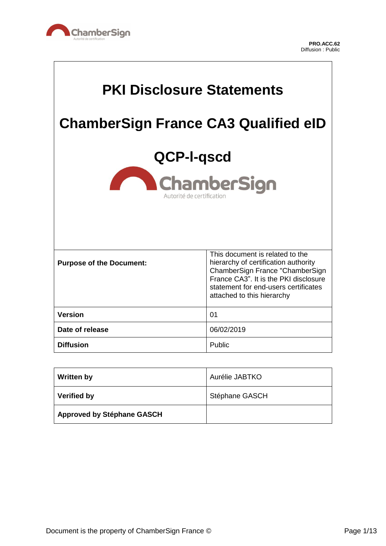

 $\Gamma$ 

 $\overline{\phantom{a}}$ 

| <b>PKI Disclosure Statements</b>                              |                                                                                                                                                                                                                           |
|---------------------------------------------------------------|---------------------------------------------------------------------------------------------------------------------------------------------------------------------------------------------------------------------------|
| <b>ChamberSign France CA3 Qualified eID</b>                   |                                                                                                                                                                                                                           |
| QCP-I-qscd<br><b>ChamberSign</b><br>Autorité de certification |                                                                                                                                                                                                                           |
| <b>Purpose of the Document:</b>                               | This document is related to the<br>hierarchy of certification authority<br>ChamberSign France "ChamberSign<br>France CA3". It is the PKI disclosure<br>statement for end-users certificates<br>attached to this hierarchy |
| <b>Version</b>                                                | 0 <sub>1</sub>                                                                                                                                                                                                            |
| Date of release                                               | 06/02/2019                                                                                                                                                                                                                |
| <b>Diffusion</b>                                              | Public                                                                                                                                                                                                                    |

| <b>Written by</b>                 | Aurélie JABTKO |
|-----------------------------------|----------------|
| <b>Verified by</b>                | Stéphane GASCH |
| <b>Approved by Stéphane GASCH</b> |                |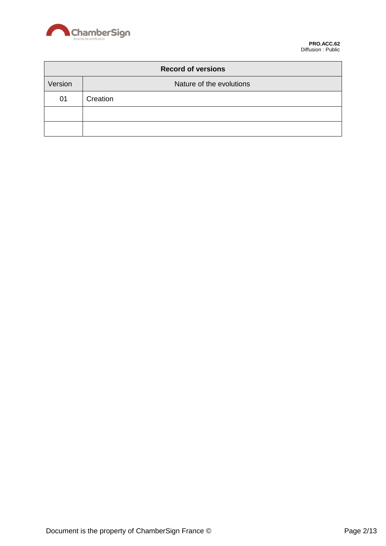

| <b>Record of versions</b> |                          |
|---------------------------|--------------------------|
| Version                   | Nature of the evolutions |
| 01                        | Creation                 |
|                           |                          |
|                           |                          |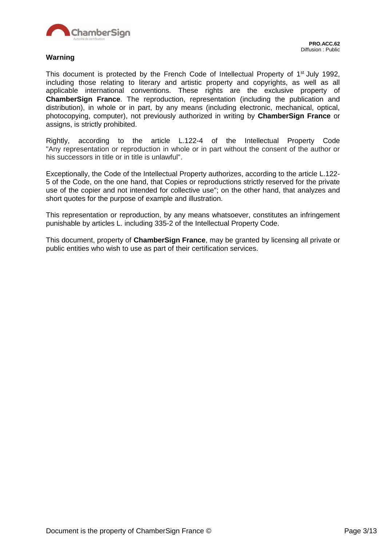

#### **Warning**

This document is protected by the French Code of Intellectual Property of 1<sup>st</sup> July 1992, including those relating to literary and artistic property and copyrights, as well as all applicable international conventions. These rights are the exclusive property of **ChamberSign France**. The reproduction, representation (including the publication and distribution), in whole or in part, by any means (including electronic, mechanical, optical, photocopying, computer), not previously authorized in writing by **ChamberSign France** or assigns, is strictly prohibited.

Rightly, according to the article L.122-4 of the Intellectual Property Code "Any representation or reproduction in whole or in part without the consent of the author or his successors in title or in title is unlawful".

Exceptionally, the Code of the Intellectual Property authorizes, according to the article L.122- 5 of the Code, on the one hand, that Copies or reproductions strictly reserved for the private use of the copier and not intended for collective use"; on the other hand, that analyzes and short quotes for the purpose of example and illustration.

This representation or reproduction, by any means whatsoever, constitutes an infringement punishable by articles L. including 335-2 of the Intellectual Property Code.

This document, property of **ChamberSign France**, may be granted by licensing all private or public entities who wish to use as part of their certification services.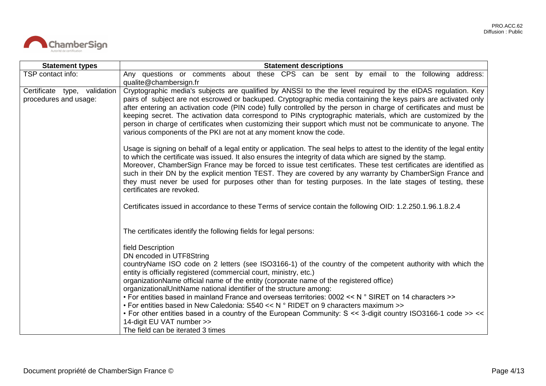

| <b>Statement types</b>                                | <b>Statement descriptions</b>                                                                                                                                                                                                                                                                                                                                                                                                                                                                                                                                                                                                                                                                                                                                                                 |  |
|-------------------------------------------------------|-----------------------------------------------------------------------------------------------------------------------------------------------------------------------------------------------------------------------------------------------------------------------------------------------------------------------------------------------------------------------------------------------------------------------------------------------------------------------------------------------------------------------------------------------------------------------------------------------------------------------------------------------------------------------------------------------------------------------------------------------------------------------------------------------|--|
| TSP contact info:                                     | Any questions or comments about these CPS can be sent by email to the following address:<br>qualite@chambersign.fr                                                                                                                                                                                                                                                                                                                                                                                                                                                                                                                                                                                                                                                                            |  |
| Certificate type, validation<br>procedures and usage: | Cryptographic media's subjects are qualified by ANSSI to the the level required by the eIDAS regulation. Key<br>pairs of subject are not escrowed or backuped. Cryptographic media containing the keys pairs are activated only<br>after entering an activation code (PIN code) fully controlled by the person in charge of certificates and must be<br>keeping secret. The activation data correspond to PINs cryptographic materials, which are customized by the<br>person in charge of certificates when customizing their support which must not be communicate to anyone. The<br>various components of the PKI are not at any moment know the code.                                                                                                                                     |  |
|                                                       | Usage is signing on behalf of a legal entity or application. The seal helps to attest to the identity of the legal entity<br>to which the certificate was issued. It also ensures the integrity of data which are signed by the stamp.<br>Moreover, ChamberSign France may be forced to issue test certificates. These test certificates are identified as<br>such in their DN by the explicit mention TEST. They are covered by any warranty by ChamberSign France and<br>they must never be used for purposes other than for testing purposes. In the late stages of testing, these<br>certificates are revoked.                                                                                                                                                                            |  |
|                                                       | Certificates issued in accordance to these Terms of service contain the following OID: 1.2.250.1.96.1.8.2.4                                                                                                                                                                                                                                                                                                                                                                                                                                                                                                                                                                                                                                                                                   |  |
|                                                       | The certificates identify the following fields for legal persons:                                                                                                                                                                                                                                                                                                                                                                                                                                                                                                                                                                                                                                                                                                                             |  |
|                                                       | field Description<br>DN encoded in UTF8String<br>countryName ISO code on 2 letters (see ISO3166-1) of the country of the competent authority with which the<br>entity is officially registered (commercial court, ministry, etc.)<br>organizationName official name of the entity (corporate name of the registered office)<br>organizationalUnitName national identifier of the structure among:<br>• For entities based in mainland France and overseas territories: 0002 << N ° SIRET on 14 characters >><br>• For entities based in New Caledonia: S540 << N $\degree$ RIDET on 9 characters maximum >><br>• For other entities based in a country of the European Community: S << 3-digit country ISO3166-1 code >> <<<br>14-digit EU VAT number >><br>The field can be iterated 3 times |  |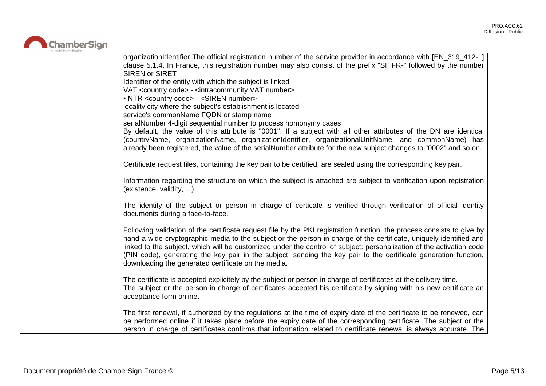

| organizationIdentifier The official registration number of the service provider in accordance with [EN_319_412-1]<br>clause 5.1.4. In France, this registration number may also consist of the prefix "SI: FR-" followed by the number<br><b>SIREN or SIRET</b><br>Identifier of the entity with which the subject is linked<br>VAT <country code=""> - <intracommunity number="" vat=""></intracommunity></country>                                                                                                                            |
|-------------------------------------------------------------------------------------------------------------------------------------------------------------------------------------------------------------------------------------------------------------------------------------------------------------------------------------------------------------------------------------------------------------------------------------------------------------------------------------------------------------------------------------------------|
| • NTR <country code=""> - <siren number=""><br/>locality city where the subject's establishment is located</siren></country>                                                                                                                                                                                                                                                                                                                                                                                                                    |
| service's commonName FQDN or stamp name                                                                                                                                                                                                                                                                                                                                                                                                                                                                                                         |
| serialNumber 4-digit sequential number to process homonymy cases<br>By default, the value of this attribute is "0001". If a subject with all other attributes of the DN are identical<br>(countryName, organizationName, organizationIdentifier, organizationalUnitName, and commonName) has<br>already been registered, the value of the serialNumber attribute for the new subject changes to "0002" and so on.                                                                                                                               |
| Certificate request files, containing the key pair to be certified, are sealed using the corresponding key pair.                                                                                                                                                                                                                                                                                                                                                                                                                                |
| Information regarding the structure on which the subject is attached are subject to verification upon registration<br>(existence, validity, ).                                                                                                                                                                                                                                                                                                                                                                                                  |
| The identity of the subject or person in charge of certicate is verified through verification of official identity<br>documents during a face-to-face.                                                                                                                                                                                                                                                                                                                                                                                          |
| Following validation of the certificate request file by the PKI registration function, the process consists to give by<br>hand a wide cryptographic media to the subject or the person in charge of the certificate, uniquely identified and<br>linked to the subject, which will be customized under the control of subject: personalization of the activation code<br>(PIN code), generating the key pair in the subject, sending the key pair to the certificate generation function,<br>downloading the generated certificate on the media. |
| The certificate is accepted explicitely by the subject or person in charge of certificates at the delivery time.<br>The subject or the person in charge of certificates accepted his certificate by signing with his new certificate an<br>acceptance form online.                                                                                                                                                                                                                                                                              |
| The first renewal, if authorized by the regulations at the time of expiry date of the certificate to be renewed, can<br>be performed online if it takes place before the expiry date of the corresponding certificate. The subject or the<br>person in charge of certificates confirms that information related to certificate renewal is always accurate. The                                                                                                                                                                                  |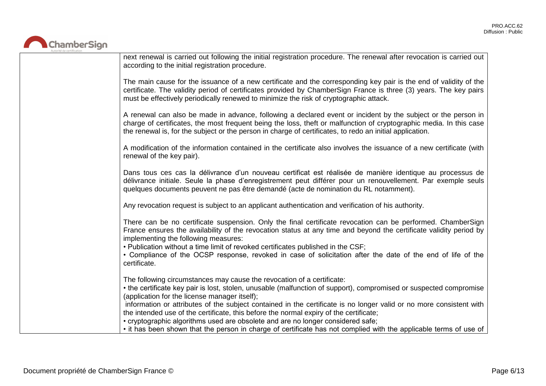

| next renewal is carried out following the initial registration procedure. The renewal after revocation is carried out<br>according to the initial registration procedure.                                                                                                                                                                                                                                                                                                                                                                                                                                                                                              |
|------------------------------------------------------------------------------------------------------------------------------------------------------------------------------------------------------------------------------------------------------------------------------------------------------------------------------------------------------------------------------------------------------------------------------------------------------------------------------------------------------------------------------------------------------------------------------------------------------------------------------------------------------------------------|
| The main cause for the issuance of a new certificate and the corresponding key pair is the end of validity of the<br>certificate. The validity period of certificates provided by ChamberSign France is three (3) years. The key pairs<br>must be effectively periodically renewed to minimize the risk of cryptographic attack.                                                                                                                                                                                                                                                                                                                                       |
| A renewal can also be made in advance, following a declared event or incident by the subject or the person in<br>charge of certificates, the most frequent being the loss, theft or malfunction of cryptographic media. In this case<br>the renewal is, for the subject or the person in charge of certificates, to redo an initial application.                                                                                                                                                                                                                                                                                                                       |
| A modification of the information contained in the certificate also involves the issuance of a new certificate (with<br>renewal of the key pair).                                                                                                                                                                                                                                                                                                                                                                                                                                                                                                                      |
| Dans tous ces cas la délivrance d'un nouveau certificat est réalisée de manière identique au processus de<br>délivrance initiale. Seule la phase d'enregistrement peut différer pour un renouvellement. Par exemple seuls<br>quelques documents peuvent ne pas être demandé (acte de nomination du RL notamment).                                                                                                                                                                                                                                                                                                                                                      |
| Any revocation request is subject to an applicant authentication and verification of his authority.                                                                                                                                                                                                                                                                                                                                                                                                                                                                                                                                                                    |
| There can be no certificate suspension. Only the final certificate revocation can be performed. ChamberSign<br>France ensures the availability of the revocation status at any time and beyond the certificate validity period by<br>implementing the following measures:<br>. Publication without a time limit of revoked certificates published in the CSF;<br>• Compliance of the OCSP response, revoked in case of solicitation after the date of the end of life of the<br>certificate.                                                                                                                                                                           |
| The following circumstances may cause the revocation of a certificate:<br>• the certificate key pair is lost, stolen, unusable (malfunction of support), compromised or suspected compromise<br>(application for the license manager itself);<br>information or attributes of the subject contained in the certificate is no longer valid or no more consistent with<br>the intended use of the certificate, this before the normal expiry of the certificate;<br>• cryptographic algorithms used are obsolete and are no longer considered safe;<br>• it has been shown that the person in charge of certificate has not complied with the applicable terms of use of |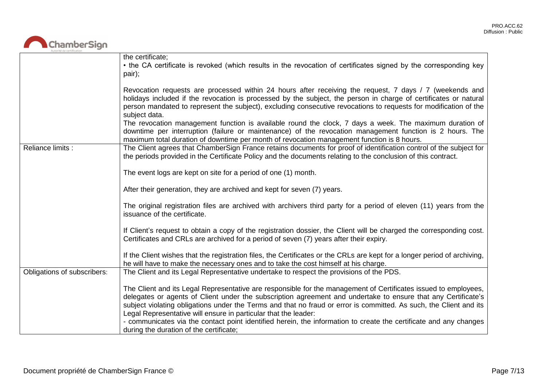# ChamberSign

|                             | the certificate;                                                                                                                                                                                                                                                                                                                                                                                                                                                                                                                               |
|-----------------------------|------------------------------------------------------------------------------------------------------------------------------------------------------------------------------------------------------------------------------------------------------------------------------------------------------------------------------------------------------------------------------------------------------------------------------------------------------------------------------------------------------------------------------------------------|
|                             | • the CA certificate is revoked (which results in the revocation of certificates signed by the corresponding key<br>pair);                                                                                                                                                                                                                                                                                                                                                                                                                     |
|                             | Revocation requests are processed within 24 hours after receiving the request, 7 days / 7 (weekends and<br>holidays included if the revocation is processed by the subject, the person in charge of certificates or natural<br>person mandated to represent the subject), excluding consecutive revocations to requests for modification of the<br>subject data.                                                                                                                                                                               |
|                             | The revocation management function is available round the clock, 7 days a week. The maximum duration of<br>downtime per interruption (failure or maintenance) of the revocation management function is 2 hours. The<br>maximum total duration of downtime per month of revocation management function is 8 hours.                                                                                                                                                                                                                              |
| Reliance limits :           | The Client agrees that ChamberSign France retains documents for proof of identification control of the subject for<br>the periods provided in the Certificate Policy and the documents relating to the conclusion of this contract.                                                                                                                                                                                                                                                                                                            |
|                             | The event logs are kept on site for a period of one (1) month.                                                                                                                                                                                                                                                                                                                                                                                                                                                                                 |
|                             | After their generation, they are archived and kept for seven (7) years.                                                                                                                                                                                                                                                                                                                                                                                                                                                                        |
|                             | The original registration files are archived with archivers third party for a period of eleven (11) years from the<br>issuance of the certificate.                                                                                                                                                                                                                                                                                                                                                                                             |
|                             | If Client's request to obtain a copy of the registration dossier, the Client will be charged the corresponding cost.<br>Certificates and CRLs are archived for a period of seven (7) years after their expiry.                                                                                                                                                                                                                                                                                                                                 |
|                             | If the Client wishes that the registration files, the Certificates or the CRLs are kept for a longer period of archiving,<br>he will have to make the necessary ones and to take the cost himself at his charge.                                                                                                                                                                                                                                                                                                                               |
| Obligations of subscribers: | The Client and its Legal Representative undertake to respect the provisions of the PDS.                                                                                                                                                                                                                                                                                                                                                                                                                                                        |
|                             | The Client and its Legal Representative are responsible for the management of Certificates issued to employees,<br>delegates or agents of Client under the subscription agreement and undertake to ensure that any Certificate's<br>subject violating obligations under the Terms and that no fraud or error is committed. As such, the Client and its<br>Legal Representative will ensure in particular that the leader:<br>- communicates via the contact point identified herein, the information to create the certificate and any changes |
|                             | during the duration of the certificate;                                                                                                                                                                                                                                                                                                                                                                                                                                                                                                        |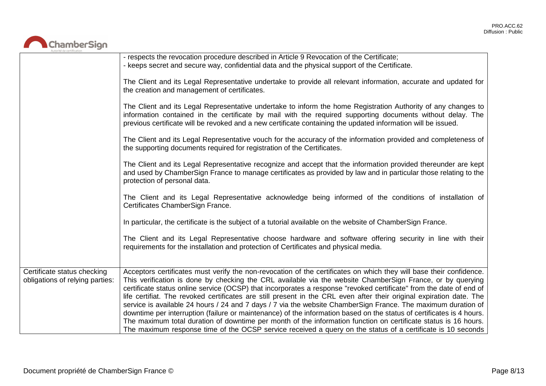

|                                                                | - respects the revocation procedure described in Article 9 Revocation of the Certificate;<br>- keeps secret and secure way, confidential data and the physical support of the Certificate.                                                                                                                                                                                                                                                                                                                                                                                                                                                                                                                                                                                                                                                                                                                                                                   |
|----------------------------------------------------------------|--------------------------------------------------------------------------------------------------------------------------------------------------------------------------------------------------------------------------------------------------------------------------------------------------------------------------------------------------------------------------------------------------------------------------------------------------------------------------------------------------------------------------------------------------------------------------------------------------------------------------------------------------------------------------------------------------------------------------------------------------------------------------------------------------------------------------------------------------------------------------------------------------------------------------------------------------------------|
|                                                                | The Client and its Legal Representative undertake to provide all relevant information, accurate and updated for<br>the creation and management of certificates.                                                                                                                                                                                                                                                                                                                                                                                                                                                                                                                                                                                                                                                                                                                                                                                              |
|                                                                | The Client and its Legal Representative undertake to inform the home Registration Authority of any changes to<br>information contained in the certificate by mail with the required supporting documents without delay. The<br>previous certificate will be revoked and a new certificate containing the updated information will be issued.                                                                                                                                                                                                                                                                                                                                                                                                                                                                                                                                                                                                                 |
|                                                                | The Client and its Legal Representative vouch for the accuracy of the information provided and completeness of<br>the supporting documents required for registration of the Certificates.                                                                                                                                                                                                                                                                                                                                                                                                                                                                                                                                                                                                                                                                                                                                                                    |
|                                                                | The Client and its Legal Representative recognize and accept that the information provided thereunder are kept<br>and used by ChamberSign France to manage certificates as provided by law and in particular those relating to the<br>protection of personal data.                                                                                                                                                                                                                                                                                                                                                                                                                                                                                                                                                                                                                                                                                           |
|                                                                | The Client and its Legal Representative acknowledge being informed of the conditions of installation of<br>Certificates ChamberSign France.                                                                                                                                                                                                                                                                                                                                                                                                                                                                                                                                                                                                                                                                                                                                                                                                                  |
|                                                                | In particular, the certificate is the subject of a tutorial available on the website of ChamberSign France.                                                                                                                                                                                                                                                                                                                                                                                                                                                                                                                                                                                                                                                                                                                                                                                                                                                  |
|                                                                | The Client and its Legal Representative choose hardware and software offering security in line with their<br>requirements for the installation and protection of Certificates and physical media.                                                                                                                                                                                                                                                                                                                                                                                                                                                                                                                                                                                                                                                                                                                                                            |
| Certificate status checking<br>obligations of relying parties: | Acceptors certificates must verify the non-revocation of the certificates on which they will base their confidence.<br>This verification is done by checking the CRL available via the website ChamberSign France, or by querying<br>certificate status online service (OCSP) that incorporates a response "revoked certificate" from the date of end of<br>life certifiat. The revoked certificates are still present in the CRL even after their original expiration date. The<br>service is available 24 hours / 24 and 7 days / 7 via the website ChamberSign France. The maximum duration of<br>downtime per interruption (failure or maintenance) of the information based on the status of certificates is 4 hours.<br>The maximum total duration of downtime per month of the information function on certificate status is 16 hours.<br>The maximum response time of the OCSP service received a query on the status of a certificate is 10 seconds |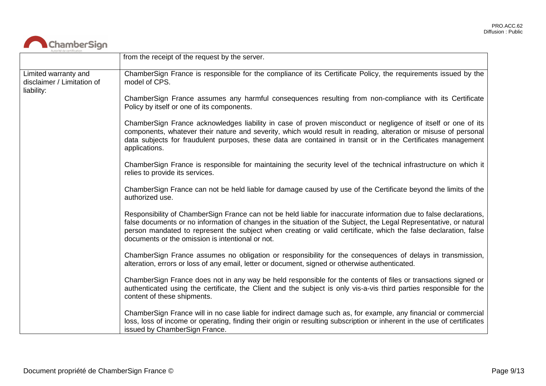

|                                                                  | from the receipt of the request by the server.                                                                                                                                                                                                                                                                                                                                                                 |
|------------------------------------------------------------------|----------------------------------------------------------------------------------------------------------------------------------------------------------------------------------------------------------------------------------------------------------------------------------------------------------------------------------------------------------------------------------------------------------------|
| Limited warranty and<br>disclaimer / Limitation of<br>liability: | ChamberSign France is responsible for the compliance of its Certificate Policy, the requirements issued by the<br>model of CPS.                                                                                                                                                                                                                                                                                |
|                                                                  | ChamberSign France assumes any harmful consequences resulting from non-compliance with its Certificate<br>Policy by itself or one of its components.                                                                                                                                                                                                                                                           |
|                                                                  | ChamberSign France acknowledges liability in case of proven misconduct or negligence of itself or one of its<br>components, whatever their nature and severity, which would result in reading, alteration or misuse of personal<br>data subjects for fraudulent purposes, these data are contained in transit or in the Certificates management<br>applications.                                               |
|                                                                  | ChamberSign France is responsible for maintaining the security level of the technical infrastructure on which it<br>relies to provide its services.                                                                                                                                                                                                                                                            |
|                                                                  | ChamberSign France can not be held liable for damage caused by use of the Certificate beyond the limits of the<br>authorized use.                                                                                                                                                                                                                                                                              |
|                                                                  | Responsibility of ChamberSign France can not be held liable for inaccurate information due to false declarations,<br>false documents or no information of changes in the situation of the Subject, the Legal Representative, or natural<br>person mandated to represent the subject when creating or valid certificate, which the false declaration, false<br>documents or the omission is intentional or not. |
|                                                                  | ChamberSign France assumes no obligation or responsibility for the consequences of delays in transmission,<br>alteration, errors or loss of any email, letter or document, signed or otherwise authenticated.                                                                                                                                                                                                  |
|                                                                  | ChamberSign France does not in any way be held responsible for the contents of files or transactions signed or<br>authenticated using the certificate, the Client and the subject is only vis-a-vis third parties responsible for the<br>content of these shipments.                                                                                                                                           |
|                                                                  | ChamberSign France will in no case liable for indirect damage such as, for example, any financial or commercial<br>loss, loss of income or operating, finding their origin or resulting subscription or inherent in the use of certificates<br>issued by ChamberSign France.                                                                                                                                   |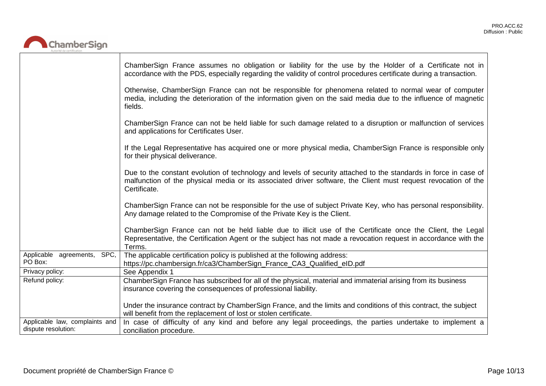ㄱ



|                                                       | ChamberSign France assumes no obligation or liability for the use by the Holder of a Certificate not in<br>accordance with the PDS, especially regarding the validity of control procedures certificate during a transaction.                      |
|-------------------------------------------------------|----------------------------------------------------------------------------------------------------------------------------------------------------------------------------------------------------------------------------------------------------|
|                                                       | Otherwise, ChamberSign France can not be responsible for phenomena related to normal wear of computer<br>media, including the deterioration of the information given on the said media due to the influence of magnetic<br>fields.                 |
|                                                       | ChamberSign France can not be held liable for such damage related to a disruption or malfunction of services<br>and applications for Certificates User.                                                                                            |
|                                                       | If the Legal Representative has acquired one or more physical media, ChamberSign France is responsible only<br>for their physical deliverance.                                                                                                     |
|                                                       | Due to the constant evolution of technology and levels of security attached to the standards in force in case of<br>malfunction of the physical media or its associated driver software, the Client must request revocation of the<br>Certificate. |
|                                                       | ChamberSign France can not be responsible for the use of subject Private Key, who has personal responsibility.<br>Any damage related to the Compromise of the Private Key is the Client.                                                           |
|                                                       | ChamberSign France can not be held liable due to illicit use of the Certificate once the Client, the Legal<br>Representative, the Certification Agent or the subject has not made a revocation request in accordance with the<br>Terms.            |
| Applicable agreements, SPC,<br>PO Box:                | The applicable certification policy is published at the following address:<br>https://pc.chambersign.fr/ca3/ChamberSign_France_CA3_Qualified_eID.pdf                                                                                               |
| Privacy policy:                                       | See Appendix 1                                                                                                                                                                                                                                     |
| Refund policy:                                        | ChamberSign France has subscribed for all of the physical, material and immaterial arising from its business<br>insurance covering the consequences of professional liability.                                                                     |
|                                                       | Under the insurance contract by ChamberSign France, and the limits and conditions of this contract, the subject<br>will benefit from the replacement of lost or stolen certificate.                                                                |
| Applicable law, complaints and<br>dispute resolution: | In case of difficulty of any kind and before any legal proceedings, the parties undertake to implement a<br>conciliation procedure.                                                                                                                |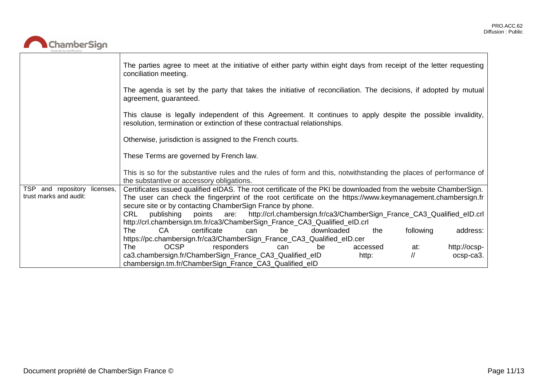

|                                 | The parties agree to meet at the initiative of either party within eight days from receipt of the letter requesting<br>conciliation meeting.                                              |
|---------------------------------|-------------------------------------------------------------------------------------------------------------------------------------------------------------------------------------------|
|                                 | The agenda is set by the party that takes the initiative of reconciliation. The decisions, if adopted by mutual<br>agreement, guaranteed.                                                 |
|                                 | This clause is legally independent of this Agreement. It continues to apply despite the possible invalidity,<br>resolution, termination or extinction of these contractual relationships. |
|                                 | Otherwise, jurisdiction is assigned to the French courts.                                                                                                                                 |
|                                 | These Terms are governed by French law.                                                                                                                                                   |
|                                 | This is so for the substantive rules and the rules of form and this, notwithstanding the places of performance of<br>the substantive or accessory obligations.                            |
| TSP and repository<br>licenses, | Certificates issued qualified eIDAS. The root certificate of the PKI be downloaded from the website ChamberSign.                                                                          |
| trust marks and audit:          | The user can check the fingerprint of the root certificate on the https://www.keymanagement.chambersign.fr<br>secure site or by contacting ChamberSign France by phone.                   |
|                                 | publishing points are: http://crl.chambersign.fr/ca3/ChamberSign_France_CA3_Qualified_eID.crl<br>CRL                                                                                      |
|                                 | http://crl.chambersign.tm.fr/ca3/ChamberSign_France_CA3_Qualified_eID.crl                                                                                                                 |
|                                 | <b>CA</b><br>certificate<br>following<br>downloaded<br>address:<br>The<br>be<br>the<br>can                                                                                                |
|                                 | https://pc.chambersign.fr/ca3/ChamberSign_France_CA3_Qualified_eID.cer                                                                                                                    |
|                                 | <b>OCSP</b><br>responders<br>http://ocsp-<br>The<br>be<br>accessed<br>at:<br>can<br>$\sqrt{ }$<br>ca3.chambersign.fr/ChamberSign_France_CA3_Qualified_eID<br>ocsp-ca3.<br>http:           |
|                                 | chambersign.tm.fr/ChamberSign_France_CA3_Qualified_eID                                                                                                                                    |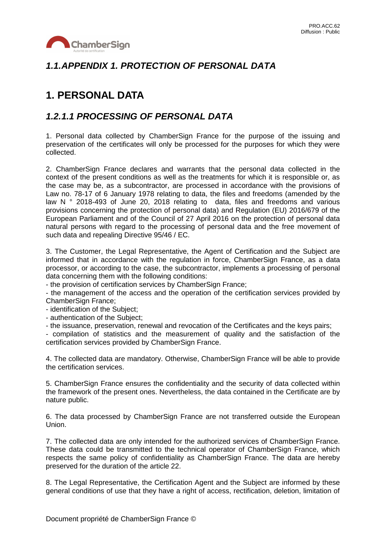

### *1.1.APPENDIX 1. PROTECTION OF PERSONAL DATA*

# **1. PERSONAL DATA**

#### *1.2.1.1 PROCESSING OF PERSONAL DATA*

1. Personal data collected by ChamberSign France for the purpose of the issuing and preservation of the certificates will only be processed for the purposes for which they were collected.

2. ChamberSign France declares and warrants that the personal data collected in the context of the present conditions as well as the treatments for which it is responsible or, as the case may be, as a subcontractor, are processed in accordance with the provisions of Law no. 78-17 of 6 January 1978 relating to data, the files and freedoms (amended by the law N ° 2018-493 of June 20, 2018 relating to data, files and freedoms and various provisions concerning the protection of personal data) and Regulation (EU) 2016/679 of the European Parliament and of the Council of 27 April 2016 on the protection of personal data natural persons with regard to the processing of personal data and the free movement of such data and repealing Directive 95/46 / EC.

3. The Customer, the Legal Representative, the Agent of Certification and the Subject are informed that in accordance with the regulation in force, ChamberSign France, as a data processor, or according to the case, the subcontractor, implements a processing of personal data concerning them with the following conditions:

- the provision of certification services by ChamberSign France;

- the management of the access and the operation of the certification services provided by ChamberSign France;

- identification of the Subject;

- authentication of the Subject;

- the issuance, preservation, renewal and revocation of the Certificates and the keys pairs;

- compilation of statistics and the measurement of quality and the satisfaction of the certification services provided by ChamberSign France.

4. The collected data are mandatory. Otherwise, ChamberSign France will be able to provide the certification services.

5. ChamberSign France ensures the confidentiality and the security of data collected within the framework of the present ones. Nevertheless, the data contained in the Certificate are by nature public.

6. The data processed by ChamberSign France are not transferred outside the European Union.

7. The collected data are only intended for the authorized services of ChamberSign France. These data could be transmitted to the technical operator of ChamberSign France, which respects the same policy of confidentiality as ChamberSign France. The data are hereby preserved for the duration of the article 22.

8. The Legal Representative, the Certification Agent and the Subject are informed by these general conditions of use that they have a right of access, rectification, deletion, limitation of